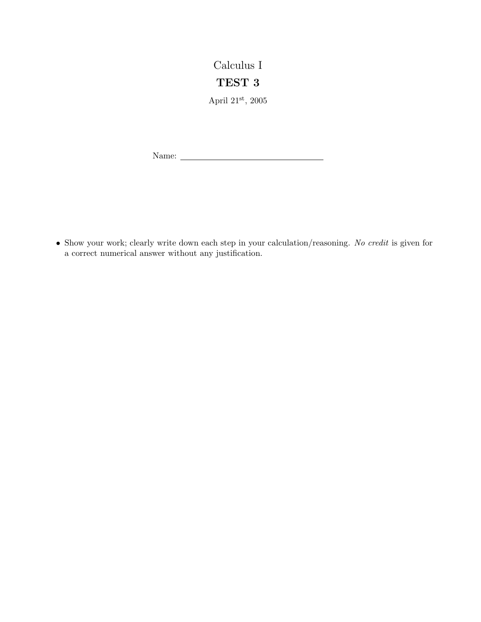## Calculus I TEST 3

April  $21^{\rm st},\,2005$ 

Name:

• Show your work; clearly write down each step in your calculation/reasoning. No credit is given for a correct numerical answer without any justification.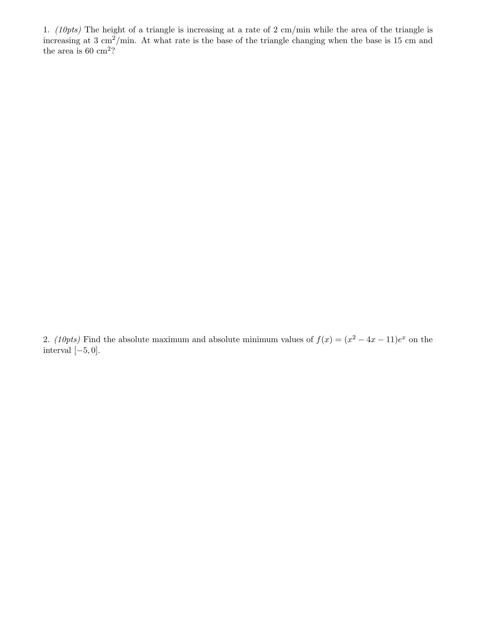1. (10pts) The height of a triangle is increasing at a rate of 2 cm/min while the area of the triangle is increasing at 3 cm<sup>2</sup>/min. At what rate is the base of the triangle changing when the base is 15 cm and the area is  $60 \text{ cm}^2$ ?

2. (10pts) Find the absolute maximum and absolute minimum values of  $f(x) = (x^2 - 4x - 11)e^x$  on the interval  $[-5, 0]$ .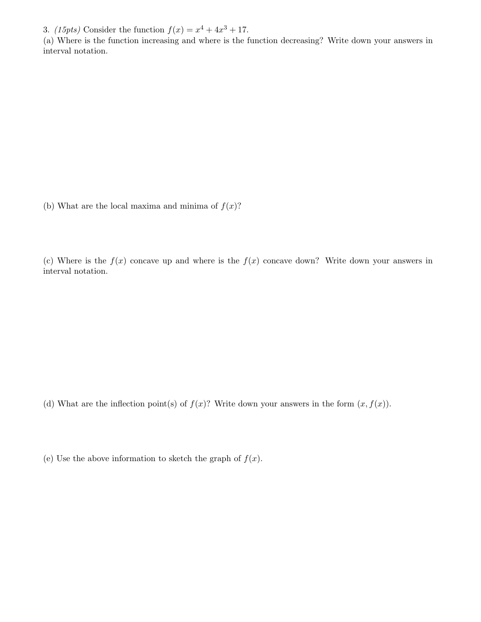3. (15pts) Consider the function  $f(x) = x^4 + 4x^3 + 17$ .

(a) Where is the function increasing and where is the function decreasing? Write down your answers in interval notation.

(b) What are the local maxima and minima of  $f(x)$ ?

(c) Where is the  $f(x)$  concave up and where is the  $f(x)$  concave down? Write down your answers in interval notation.

(d) What are the inflection point(s) of  $f(x)$ ? Write down your answers in the form  $(x, f(x))$ .

(e) Use the above information to sketch the graph of  $f(x)$ .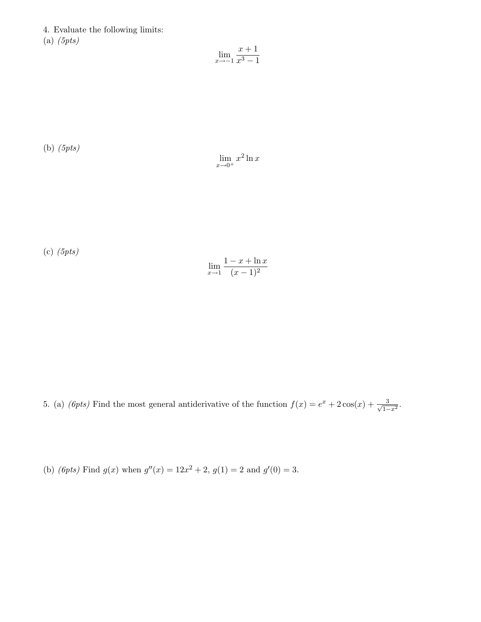4. Evaluate the following limits:  $(a)$  (5pts)

$$
\lim_{x \to -1} \frac{x+1}{x^3 - 1}
$$

(b) (5pts)

$$
\lim_{x \to 0^+} x^2 \ln x
$$

(c) (5pts)

$$
\lim_{x \to 1} \frac{1 - x + \ln x}{(x - 1)^2}
$$

5. (a) (*6pts*) Find the most general antiderivative of the function  $f(x) = e^x + 2\cos(x) + \frac{3}{\sqrt{2}}$  $\frac{3}{1-x^2}$ .

(b) (6pts) Find  $g(x)$  when  $g''(x) = 12x^2 + 2$ ,  $g(1) = 2$  and  $g'(0) = 3$ .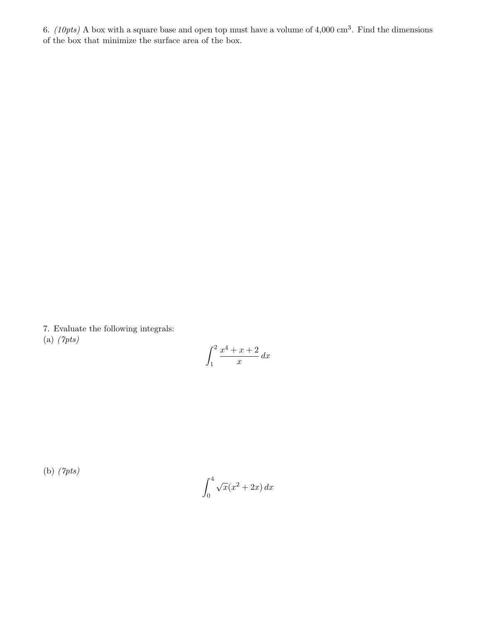6. (10pts) A box with a square base and open top must have a volume of 4,000 cm<sup>3</sup>. Find the dimensions of the box that minimize the surface area of the box.

7. Evaluate the following integrals: (a) (7pts)

$$
\int_{1}^{2} \frac{x^4 + x + 2}{x} \, dx
$$

(b) (7pts)

$$
\int_0^4 \sqrt{x}(x^2 + 2x) \, dx
$$